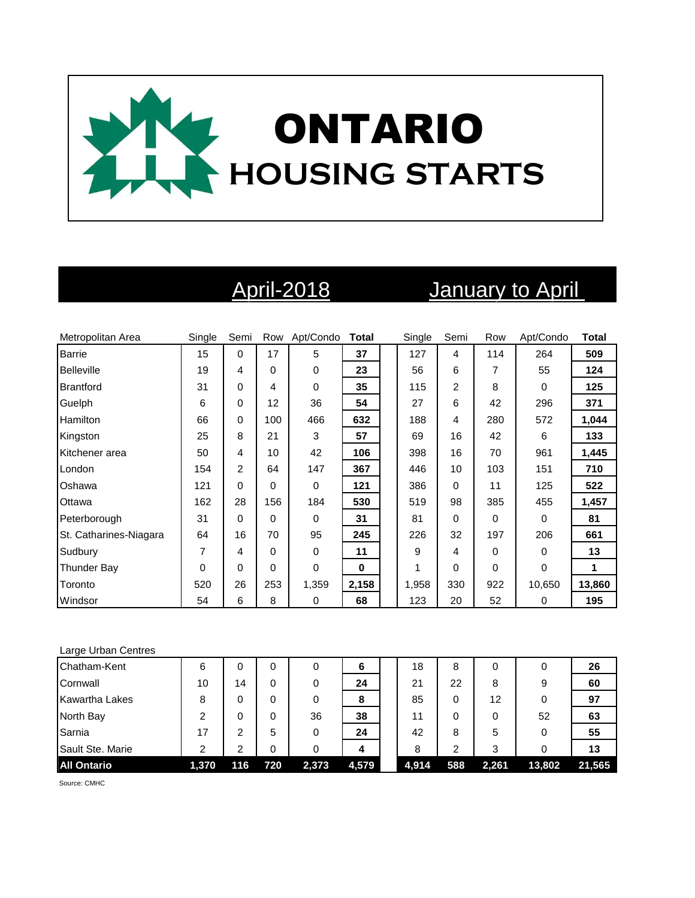

# April-2018 January to April

| Metropolitan Area      | Single   | Semi | Row      | Apt/Condo   | <b>Total</b> | Single | Semi | Row | Apt/Condo | <b>Total</b> |
|------------------------|----------|------|----------|-------------|--------------|--------|------|-----|-----------|--------------|
| <b>Barrie</b>          | 15       | 0    | 17       | 5           | 37           | 127    | 4    | 114 | 264       | 509          |
| <b>Belleville</b>      | 19       | 4    | $\Omega$ | 0           | 23           | 56     | 6    | 7   | 55        | 124          |
| <b>Brantford</b>       | 31       | 0    | 4        | $\mathbf 0$ | 35           | 115    | 2    | 8   | $\Omega$  | 125          |
| Guelph                 | 6        | 0    | 12       | 36          | 54           | 27     | 6    | 42  | 296       | 371          |
| <b>Hamilton</b>        | 66       | 0    | 100      | 466         | 632          | 188    | 4    | 280 | 572       | 1,044        |
| Kingston               | 25       | 8    | 21       | 3           | 57           | 69     | 16   | 42  | 6         | 133          |
| Kitchener area         | 50       | 4    | 10       | 42          | 106          | 398    | 16   | 70  | 961       | 1,445        |
| London                 | 154      | 2    | 64       | 147         | 367          | 446    | 10   | 103 | 151       | 710          |
| Oshawa                 | 121      | 0    | $\Omega$ | 0           | 121          | 386    | 0    | 11  | 125       | 522          |
| Ottawa                 | 162      | 28   | 156      | 184         | 530          | 519    | 98   | 385 | 455       | 1,457        |
| Peterborough           | 31       | 0    | $\Omega$ | $\Omega$    | 31           | 81     | 0    | 0   | $\Omega$  | 81           |
| St. Catharines-Niagara | 64       | 16   | 70       | 95          | 245          | 226    | 32   | 197 | 206       | 661          |
| Sudbury                | 7        | 4    | $\Omega$ | 0           | 11           | 9      | 4    | 0   | $\Omega$  | 13           |
| <b>Thunder Bay</b>     | $\Omega$ | 0    | $\Omega$ | 0           | $\bf{0}$     | 1      | 0    | 0   | $\Omega$  | 1            |
| Toronto                | 520      | 26   | 253      | 1,359       | 2,158        | 1,958  | 330  | 922 | 10,650    | 13,860       |
| Windsor                | 54       | 6    | 8        | 0           | 68           | 123    | 20   | 52  | $\Omega$  | 195          |

### Large Urban Centres

| Chatham-Kent          | 6     | 0   | 0   | 0     | 6     | 18    | 8   | 0     |        | 26     |
|-----------------------|-------|-----|-----|-------|-------|-------|-----|-------|--------|--------|
| Cornwall              | 10    | 14  | 0   | 0     | 24    | 21    | 22  | 8     | 9      | 60     |
| <b>Kawartha Lakes</b> | 8     | 0   | 0   | 0     | 8     | 85    | 0   | 12    |        | 97     |
| North Bay             |       | 0   | 0   | 36    | 38    | 11    |     | 0     | 52     | 63     |
| Sarnia                | 17    | 2   | 5   | 0     | 24    | 42    | 8   | 5     |        | 55     |
| Sault Ste. Marie      | ົ     | 2   | 0   |       | 4     | 8     | ົ   | 3     |        | 13     |
| <b>All Ontario</b>    | 1,370 | 116 | 720 | 2,373 | 4,579 | 4,914 | 588 | 2,261 | 13,802 | 21,565 |

Source: CMHC